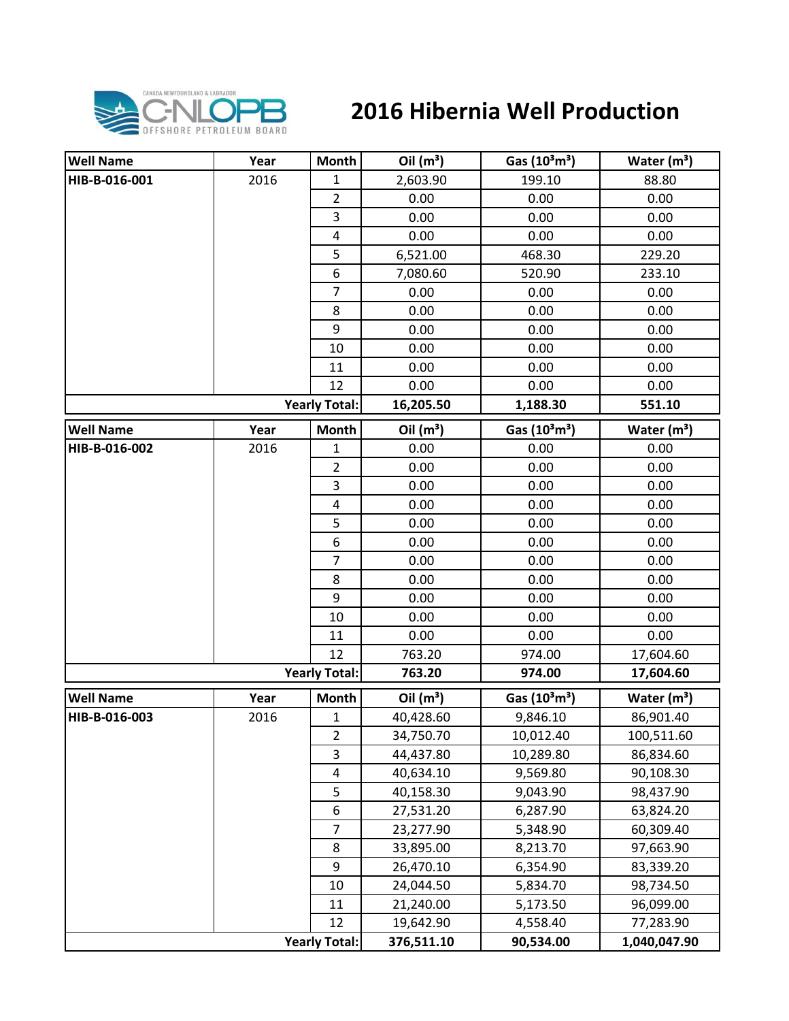

## **2016 Hibernia Well Production**

| <b>Well Name</b> | Year | Month                   | Oil $(m^3)$ | Gas $(10^3 \text{m}^3)$               | Water $(m^3)$           |
|------------------|------|-------------------------|-------------|---------------------------------------|-------------------------|
| HIB-B-016-001    | 2016 | 1                       | 2,603.90    | 199.10                                | 88.80                   |
|                  |      | $\overline{2}$          | 0.00        | 0.00                                  | 0.00                    |
|                  |      | 3                       | 0.00        | 0.00                                  | 0.00                    |
|                  |      | $\overline{\mathbf{4}}$ | 0.00        | 0.00                                  | 0.00                    |
|                  |      | 5                       | 6,521.00    | 468.30                                | 229.20                  |
|                  |      | 6                       | 7,080.60    | 520.90                                | 233.10                  |
|                  |      | $\overline{7}$          | 0.00        | 0.00                                  | 0.00                    |
|                  |      | 8                       | 0.00        | 0.00                                  | 0.00                    |
|                  |      | 9                       | 0.00        | 0.00                                  | 0.00                    |
|                  |      | 10                      | 0.00        | 0.00                                  | 0.00                    |
|                  |      | 11                      | 0.00        | 0.00                                  | 0.00                    |
|                  |      | 12                      | 0.00        | 0.00                                  | 0.00                    |
|                  |      | <b>Yearly Total:</b>    | 16,205.50   | 1,188.30                              | 551.10                  |
| <b>Well Name</b> | Year | <b>Month</b>            | Oil $(m^3)$ | Gas $(10^3 \text{m}^3)$               | Water $(m^3)$           |
| HIB-B-016-002    | 2016 | 1                       | 0.00        | 0.00                                  | 0.00                    |
|                  |      | $\overline{2}$          | 0.00        | 0.00                                  | 0.00                    |
|                  |      | $\mathsf 3$             | 0.00        | 0.00                                  | 0.00                    |
|                  |      | $\pmb{4}$               | 0.00        | 0.00                                  | 0.00                    |
|                  |      | 5                       | 0.00        | 0.00                                  | 0.00                    |
|                  |      | $\boldsymbol{6}$        | 0.00        | 0.00                                  | 0.00                    |
|                  |      | $\overline{7}$          | 0.00        | 0.00                                  | 0.00                    |
|                  |      | 8                       | 0.00        | 0.00                                  | 0.00                    |
|                  |      | 9                       | 0.00        | 0.00                                  | 0.00                    |
|                  |      | 10                      | 0.00        | 0.00                                  | 0.00                    |
|                  |      | 11                      | 0.00        | 0.00                                  | 0.00                    |
|                  |      | 12                      | 763.20      | 974.00                                | 17,604.60               |
|                  |      | <b>Yearly Total:</b>    | 763.20      | 974.00                                | 17,604.60               |
| <b>Well Name</b> | Year | Month                   | Oil $(m^3)$ | Gas (10 <sup>3</sup> m <sup>3</sup> ) | Water (m <sup>3</sup> ) |
| HIB-B-016-003    | 2016 | $\mathbf 1$             | 40,428.60   | 9,846.10                              | 86,901.40               |
|                  |      | $\mathbf 2$             | 34,750.70   | 10,012.40                             | 100,511.60              |
|                  |      | 3                       | 44,437.80   | 10,289.80                             | 86,834.60               |
|                  |      | 4                       | 40,634.10   | 9,569.80                              | 90,108.30               |
|                  |      | 5                       | 40,158.30   | 9,043.90                              | 98,437.90               |
|                  |      | 6                       | 27,531.20   | 6,287.90                              | 63,824.20               |
|                  |      | $\overline{7}$          | 23,277.90   | 5,348.90                              | 60,309.40               |
|                  |      | 8                       | 33,895.00   | 8,213.70                              | 97,663.90               |
|                  |      | 9                       | 26,470.10   | 6,354.90                              | 83,339.20               |
|                  |      | 10                      | 24,044.50   | 5,834.70                              | 98,734.50               |
|                  |      | 11                      | 21,240.00   | 5,173.50                              | 96,099.00               |
|                  |      | 12                      | 19,642.90   | 4,558.40                              | 77,283.90               |
|                  |      | <b>Yearly Total:</b>    | 376,511.10  | 90,534.00                             | 1,040,047.90            |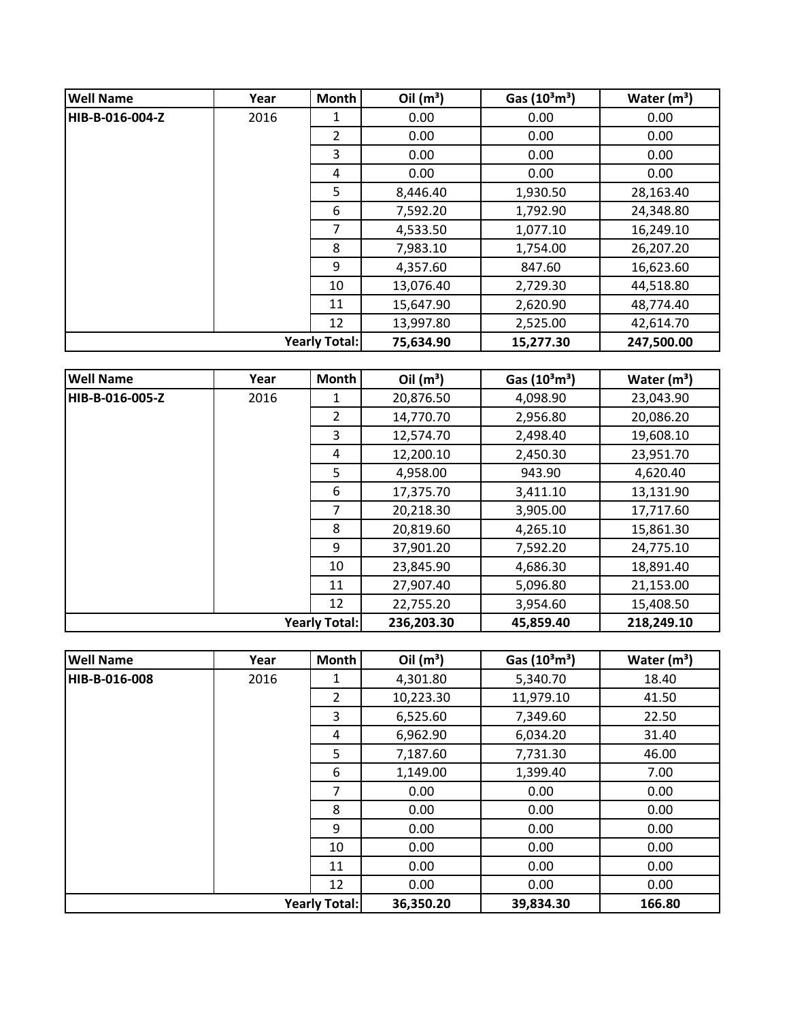| <b>Well Name</b> | Year | <b>Month</b>         | Oil $(m^3)$ | Gas $(10^3 \text{m}^3)$ | Water $(m^3)$ |
|------------------|------|----------------------|-------------|-------------------------|---------------|
| HIB-B-016-004-Z  | 2016 | 1                    | 0.00        | 0.00                    | 0.00          |
|                  |      | $\overline{2}$       | 0.00        | 0.00                    | 0.00          |
|                  |      | 3                    | 0.00        | 0.00                    | 0.00          |
|                  |      | 4                    | 0.00        | 0.00                    | 0.00          |
|                  |      | 5                    | 8,446.40    | 1,930.50                | 28,163.40     |
|                  |      | 6                    | 7,592.20    | 1,792.90                | 24,348.80     |
|                  |      | 7                    | 4,533.50    | 1,077.10                | 16,249.10     |
|                  |      | 8                    | 7,983.10    | 1,754.00                | 26,207.20     |
|                  |      | 9                    | 4,357.60    | 847.60                  | 16,623.60     |
|                  |      | 10                   | 13,076.40   | 2,729.30                | 44,518.80     |
|                  |      | 11                   | 15,647.90   | 2,620.90                | 48,774.40     |
|                  |      | 12                   | 13,997.80   | 2,525.00                | 42,614.70     |
|                  |      | <b>Yearly Total:</b> | 75,634.90   | 15,277.30               | 247,500.00    |

| <b>Well Name</b>     | Year | <b>Month</b>   | Oil $(m^3)$ | Gas $(10^3 \text{m}^3)$ | Water $(m^3)$ |
|----------------------|------|----------------|-------------|-------------------------|---------------|
| HIB-B-016-005-Z      | 2016 | 1              | 20,876.50   | 4,098.90                | 23,043.90     |
|                      |      | $\overline{2}$ | 14,770.70   | 2,956.80                | 20,086.20     |
|                      |      | 3              | 12,574.70   | 2,498.40                | 19,608.10     |
|                      |      | 4              | 12,200.10   | 2,450.30                | 23,951.70     |
|                      |      | 5              | 4,958.00    | 943.90                  | 4,620.40      |
|                      |      | 6              | 17,375.70   | 3,411.10                | 13,131.90     |
|                      |      | 7              | 20,218.30   | 3,905.00                | 17,717.60     |
|                      |      | 8              | 20,819.60   | 4,265.10                | 15,861.30     |
|                      |      | 9              | 37,901.20   | 7,592.20                | 24,775.10     |
|                      |      | 10             | 23,845.90   | 4,686.30                | 18,891.40     |
|                      |      | 11             | 27,907.40   | 5,096.80                | 21,153.00     |
|                      |      | 12             | 22,755.20   | 3,954.60                | 15,408.50     |
| <b>Yearly Total:</b> |      |                | 236,203.30  | 45,859.40               | 218,249.10    |

| <b>Well Name</b> | Year | <b>Month</b>         | Oil $(m^3)$ | Gas $(10^3 \text{m}^3)$ | Water $(m^3)$ |
|------------------|------|----------------------|-------------|-------------------------|---------------|
| HIB-B-016-008    | 2016 | 1                    | 4,301.80    | 5,340.70                | 18.40         |
|                  |      | $\overline{2}$       | 10,223.30   | 11,979.10               | 41.50         |
|                  |      | 3                    | 6,525.60    | 7,349.60                | 22.50         |
|                  |      | 4                    | 6,962.90    | 6,034.20                | 31.40         |
|                  |      | 5                    | 7,187.60    | 7,731.30                | 46.00         |
|                  |      | 6                    | 1,149.00    | 1,399.40                | 7.00          |
|                  |      | 7                    | 0.00        | 0.00                    | 0.00          |
|                  |      | 8                    | 0.00        | 0.00                    | 0.00          |
|                  |      | 9                    | 0.00        | 0.00                    | 0.00          |
|                  |      | 10                   | 0.00        | 0.00                    | 0.00          |
|                  |      | 11                   | 0.00        | 0.00                    | 0.00          |
|                  |      | 12                   | 0.00        | 0.00                    | 0.00          |
|                  |      | <b>Yearly Total:</b> | 36,350.20   | 39,834.30               | 166.80        |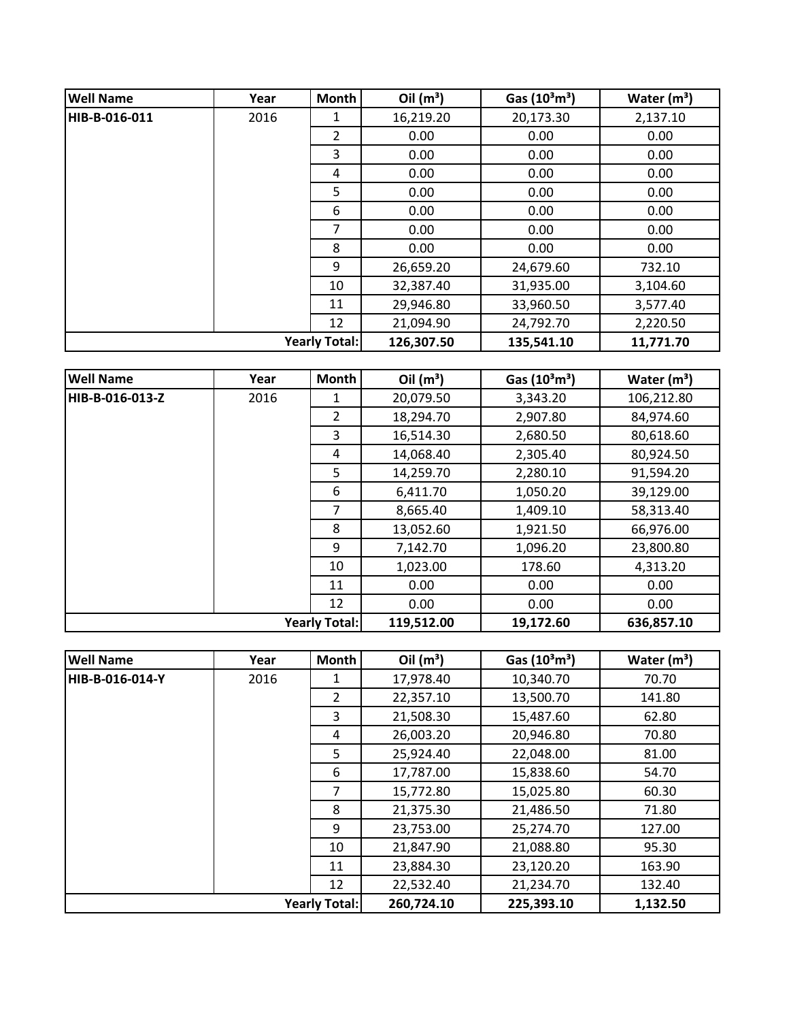| <b>Well Name</b> | Year                 | <b>Month</b> | Oil $(m^3)$ | Gas $(10^3 \text{m}^3)$ | Water $(m^3)$ |
|------------------|----------------------|--------------|-------------|-------------------------|---------------|
| HIB-B-016-011    | 2016                 | 1            | 16,219.20   | 20,173.30               | 2,137.10      |
|                  |                      | 2            | 0.00        | 0.00                    | 0.00          |
|                  |                      | 3            | 0.00        | 0.00                    | 0.00          |
|                  |                      | 4            | 0.00        | 0.00                    | 0.00          |
|                  |                      | 5            | 0.00        | 0.00                    | 0.00          |
|                  |                      | 6            | 0.00        | 0.00                    | 0.00          |
|                  |                      | 7            | 0.00        | 0.00                    | 0.00          |
|                  |                      | 8            | 0.00        | 0.00                    | 0.00          |
|                  |                      | 9            | 26,659.20   | 24,679.60               | 732.10        |
|                  |                      | 10           | 32,387.40   | 31,935.00               | 3,104.60      |
|                  |                      | 11           | 29,946.80   | 33,960.50               | 3,577.40      |
|                  |                      | 12           | 21,094.90   | 24,792.70               | 2,220.50      |
|                  | <b>Yearly Total:</b> |              |             | 135,541.10              | 11,771.70     |

| <b>Well Name</b> | Year | <b>Month</b>         | Oil $(m^3)$ | Gas $(10^3 \text{m}^3)$ | Water $(m^3)$ |
|------------------|------|----------------------|-------------|-------------------------|---------------|
| HIB-B-016-013-Z  | 2016 | 1                    | 20,079.50   | 3,343.20                | 106,212.80    |
|                  |      | $\overline{2}$       | 18,294.70   | 2,907.80                | 84,974.60     |
|                  |      | 3                    | 16,514.30   | 2,680.50                | 80,618.60     |
|                  |      | 4                    | 14,068.40   | 2,305.40                | 80,924.50     |
|                  |      | 5                    | 14,259.70   | 2,280.10                | 91,594.20     |
|                  |      | 6                    | 6,411.70    | 1,050.20                | 39,129.00     |
|                  |      | 7                    | 8,665.40    | 1,409.10                | 58,313.40     |
|                  |      | 8                    | 13,052.60   | 1,921.50                | 66,976.00     |
|                  |      | 9                    | 7,142.70    | 1,096.20                | 23,800.80     |
|                  |      | 10                   | 1,023.00    | 178.60                  | 4,313.20      |
|                  |      | 11                   | 0.00        | 0.00                    | 0.00          |
|                  |      | 12                   | 0.00        | 0.00                    | 0.00          |
|                  |      | <b>Yearly Total:</b> | 119,512.00  | 19,172.60               | 636,857.10    |

| <b>Well Name</b>     | Year | Month          | Oil $(m^3)$ | Gas $(10^3 \text{m}^3)$ | Water $(m^3)$ |
|----------------------|------|----------------|-------------|-------------------------|---------------|
| HIB-B-016-014-Y      | 2016 | 1              | 17,978.40   | 10,340.70               | 70.70         |
|                      |      | $\overline{2}$ | 22,357.10   | 13,500.70               | 141.80        |
|                      |      | 3              | 21,508.30   | 15,487.60               | 62.80         |
|                      |      | 4              | 26,003.20   | 20,946.80               | 70.80         |
|                      |      | 5              | 25,924.40   | 22,048.00               | 81.00         |
|                      |      | 6              | 17,787.00   | 15,838.60               | 54.70         |
|                      |      | 7              | 15,772.80   | 15,025.80               | 60.30         |
|                      |      | 8              | 21,375.30   | 21,486.50               | 71.80         |
|                      |      | 9              | 23,753.00   | 25,274.70               | 127.00        |
|                      |      | 10             | 21,847.90   | 21,088.80               | 95.30         |
|                      |      | 11             | 23,884.30   | 23,120.20               | 163.90        |
|                      |      | 12             | 22,532.40   | 21,234.70               | 132.40        |
| <b>Yearly Total:</b> |      |                | 260,724.10  | 225,393.10              | 1,132.50      |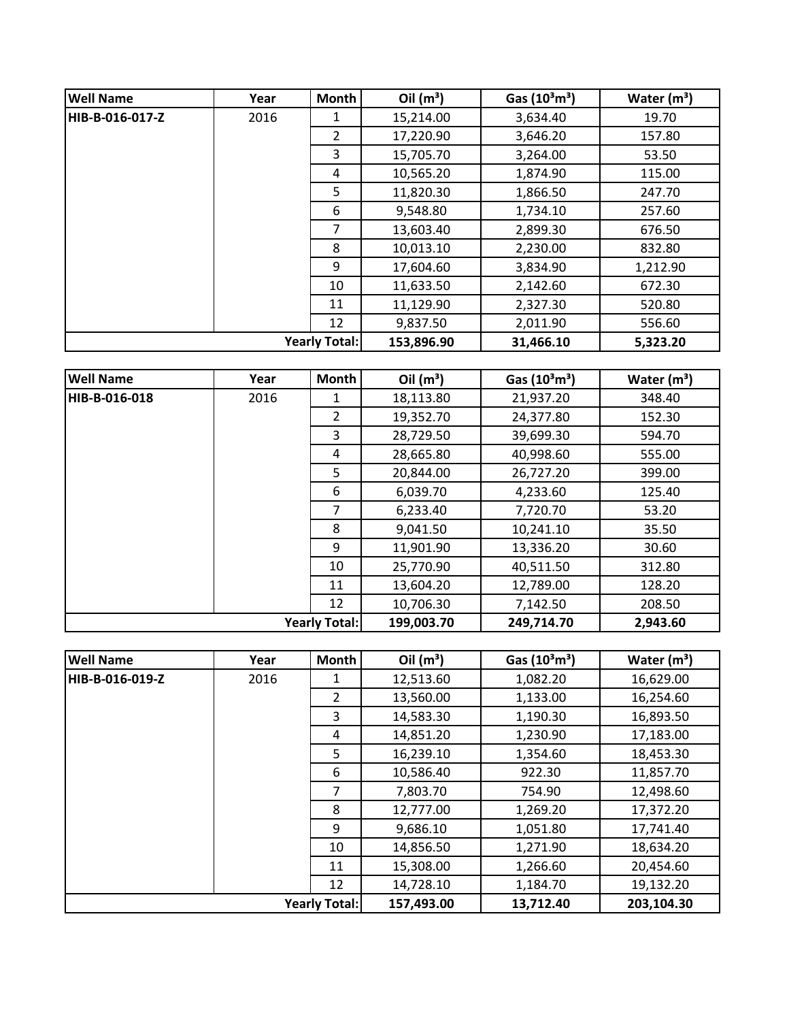| <b>Well Name</b> | Year | <b>Month</b>         | Oil $(m^3)$ | Gas $(10^3 \text{m}^3)$ | Water $(m^3)$ |
|------------------|------|----------------------|-------------|-------------------------|---------------|
| HIB-B-016-017-Z  | 2016 | 1                    | 15,214.00   | 3,634.40                | 19.70         |
|                  |      | $\overline{2}$       | 17,220.90   | 3,646.20                | 157.80        |
|                  |      | 3                    | 15,705.70   | 3,264.00                | 53.50         |
|                  |      | 4                    | 10,565.20   | 1,874.90                | 115.00        |
|                  |      | 5                    | 11,820.30   | 1,866.50                | 247.70        |
|                  |      | 6                    | 9,548.80    | 1,734.10                | 257.60        |
|                  |      | 7                    | 13,603.40   | 2,899.30                | 676.50        |
|                  |      | 8                    | 10,013.10   | 2,230.00                | 832.80        |
|                  |      | 9                    | 17,604.60   | 3,834.90                | 1,212.90      |
|                  |      | 10                   | 11,633.50   | 2,142.60                | 672.30        |
|                  |      | 11                   | 11,129.90   | 2,327.30                | 520.80        |
|                  |      | 12                   | 9,837.50    | 2,011.90                | 556.60        |
|                  |      | <b>Yearly Total:</b> | 153,896.90  | 31,466.10               | 5,323.20      |

| <b>Well Name</b> | Year | <b>Month</b>         | Oil $(m^3)$ | Gas $(10^3 \text{m}^3)$ | Water $(m^3)$ |
|------------------|------|----------------------|-------------|-------------------------|---------------|
| HIB-B-016-018    | 2016 | 1                    | 18,113.80   | 21,937.20               | 348.40        |
|                  |      | $\overline{2}$       | 19,352.70   | 24,377.80               | 152.30        |
|                  |      | 3                    | 28,729.50   | 39,699.30               | 594.70        |
|                  |      | 4                    | 28,665.80   | 40,998.60               | 555.00        |
|                  |      | 5                    | 20,844.00   | 26,727.20               | 399.00        |
|                  |      | 6                    | 6,039.70    | 4,233.60                | 125.40        |
|                  |      | 7                    | 6,233.40    | 7,720.70                | 53.20         |
|                  |      | 8                    | 9,041.50    | 10,241.10               | 35.50         |
|                  |      | 9                    | 11,901.90   | 13,336.20               | 30.60         |
|                  |      | 10                   | 25,770.90   | 40,511.50               | 312.80        |
|                  |      | 11                   | 13,604.20   | 12,789.00               | 128.20        |
|                  |      | 12                   | 10,706.30   | 7,142.50                | 208.50        |
|                  |      | <b>Yearly Total:</b> | 199,003.70  | 249,714.70              | 2,943.60      |

| <b>Well Name</b>     | Year | <b>Month</b>   | Oil $(m^3)$ | Gas $(10^3 \text{m}^3)$ | Water $(m^3)$ |
|----------------------|------|----------------|-------------|-------------------------|---------------|
| HIB-B-016-019-Z      | 2016 |                | 12,513.60   | 1,082.20                | 16,629.00     |
|                      |      | $\overline{2}$ | 13,560.00   | 1,133.00                | 16,254.60     |
|                      |      | 3              | 14,583.30   | 1,190.30                | 16,893.50     |
|                      |      | 4              | 14,851.20   | 1,230.90                | 17,183.00     |
|                      |      | 5              | 16,239.10   | 1,354.60                | 18,453.30     |
|                      |      | 6              | 10,586.40   | 922.30                  | 11,857.70     |
|                      |      | 7              | 7,803.70    | 754.90                  | 12,498.60     |
|                      |      | 8              | 12,777.00   | 1,269.20                | 17,372.20     |
|                      |      | 9              | 9,686.10    | 1,051.80                | 17,741.40     |
|                      |      | 10             | 14,856.50   | 1,271.90                | 18,634.20     |
|                      |      | 11             | 15,308.00   | 1,266.60                | 20,454.60     |
|                      |      | 12             | 14,728.10   | 1,184.70                | 19,132.20     |
| <b>Yearly Total:</b> |      |                | 157,493.00  | 13,712.40               | 203,104.30    |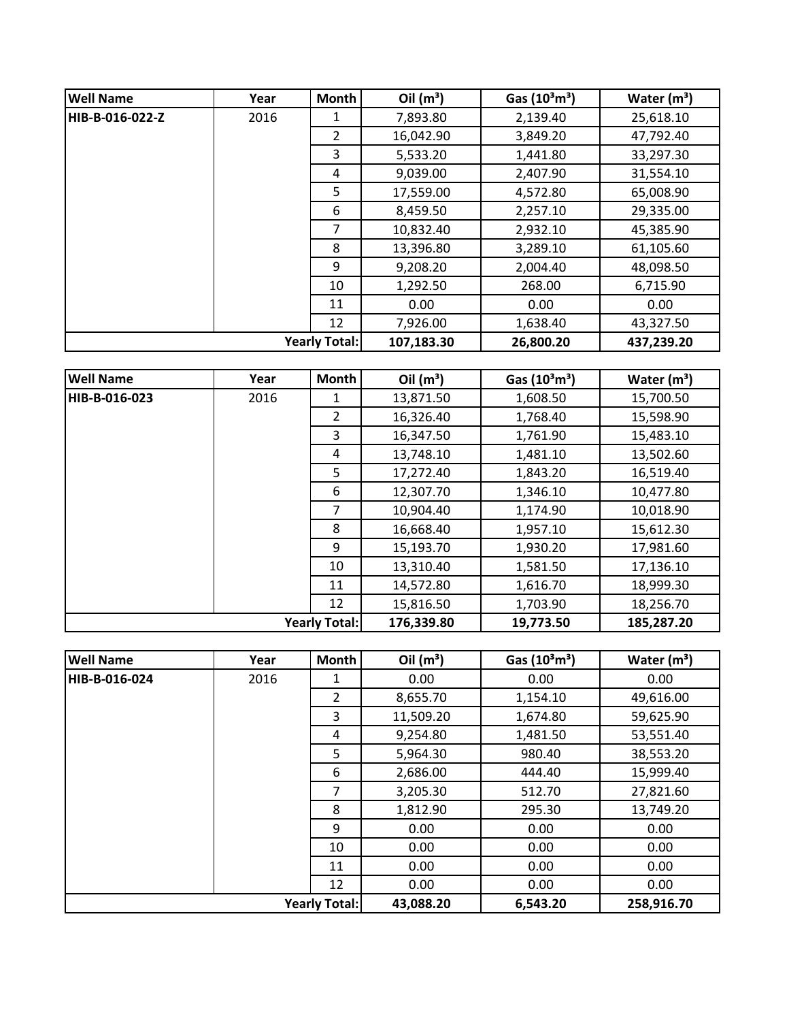| <b>Well Name</b>     | Year | <b>Month</b>   | Oil $(m^3)$ | Gas $(10^3 \text{m}^3)$ | Water $(m^3)$ |
|----------------------|------|----------------|-------------|-------------------------|---------------|
| HIB-B-016-022-Z      | 2016 | 1              | 7,893.80    | 2,139.40                | 25,618.10     |
|                      |      | $\overline{2}$ | 16,042.90   | 3,849.20                | 47,792.40     |
|                      |      | 3              | 5,533.20    | 1,441.80                | 33,297.30     |
|                      |      | 4              | 9,039.00    | 2,407.90                | 31,554.10     |
|                      |      | 5              | 17,559.00   | 4,572.80                | 65,008.90     |
|                      |      | 6              | 8,459.50    | 2,257.10                | 29,335.00     |
|                      |      | 7              | 10,832.40   | 2,932.10                | 45,385.90     |
|                      |      | 8              | 13,396.80   | 3,289.10                | 61,105.60     |
|                      |      | 9              | 9,208.20    | 2,004.40                | 48,098.50     |
|                      |      | 10             | 1,292.50    | 268.00                  | 6,715.90      |
|                      |      | 11             | 0.00        | 0.00                    | 0.00          |
|                      |      | 12             | 7,926.00    | 1,638.40                | 43,327.50     |
| <b>Yearly Total:</b> |      |                | 107,183.30  | 26,800.20               | 437,239.20    |

| <b>Well Name</b>     | Year | <b>Month</b>   | Oil $(m^3)$ | Gas $(10^3 \text{m}^3)$ | Water $(m^3)$ |
|----------------------|------|----------------|-------------|-------------------------|---------------|
| HIB-B-016-023        | 2016 | 1              | 13,871.50   | 1,608.50                | 15,700.50     |
|                      |      | $\overline{2}$ | 16,326.40   | 1,768.40                | 15,598.90     |
|                      |      | 3              | 16,347.50   | 1,761.90                | 15,483.10     |
|                      |      | 4              | 13,748.10   | 1,481.10                | 13,502.60     |
|                      |      | 5              | 17,272.40   | 1,843.20                | 16,519.40     |
|                      |      | 6              | 12,307.70   | 1,346.10                | 10,477.80     |
|                      |      | 7              | 10,904.40   | 1,174.90                | 10,018.90     |
|                      |      | 8              | 16,668.40   | 1,957.10                | 15,612.30     |
|                      |      | 9              | 15,193.70   | 1,930.20                | 17,981.60     |
|                      |      | 10             | 13,310.40   | 1,581.50                | 17,136.10     |
|                      |      | 11             | 14,572.80   | 1,616.70                | 18,999.30     |
|                      |      | 12             | 15,816.50   | 1,703.90                | 18,256.70     |
| <b>Yearly Total:</b> |      |                | 176,339.80  | 19,773.50               | 185,287.20    |

| <b>Well Name</b> | Year | <b>Month</b>         | Oil $(m^3)$ | Gas $(10^3 \text{m}^3)$ | Water $(m^3)$ |
|------------------|------|----------------------|-------------|-------------------------|---------------|
| HIB-B-016-024    | 2016 | 1                    | 0.00        | 0.00                    | 0.00          |
|                  |      | $\overline{2}$       | 8,655.70    | 1,154.10                | 49,616.00     |
|                  |      | 3                    | 11,509.20   | 1,674.80                | 59,625.90     |
|                  |      | 4                    | 9,254.80    | 1,481.50                | 53,551.40     |
|                  |      | 5                    | 5,964.30    | 980.40                  | 38,553.20     |
|                  |      | 6                    | 2,686.00    | 444.40                  | 15,999.40     |
|                  |      | 7                    | 3,205.30    | 512.70                  | 27,821.60     |
|                  |      | 8                    | 1,812.90    | 295.30                  | 13,749.20     |
|                  |      | 9                    | 0.00        | 0.00                    | 0.00          |
|                  |      | 10                   | 0.00        | 0.00                    | 0.00          |
|                  |      | 11                   | 0.00        | 0.00                    | 0.00          |
|                  |      | 12                   | 0.00        | 0.00                    | 0.00          |
|                  |      | <b>Yearly Total:</b> | 43,088.20   | 6,543.20                | 258,916.70    |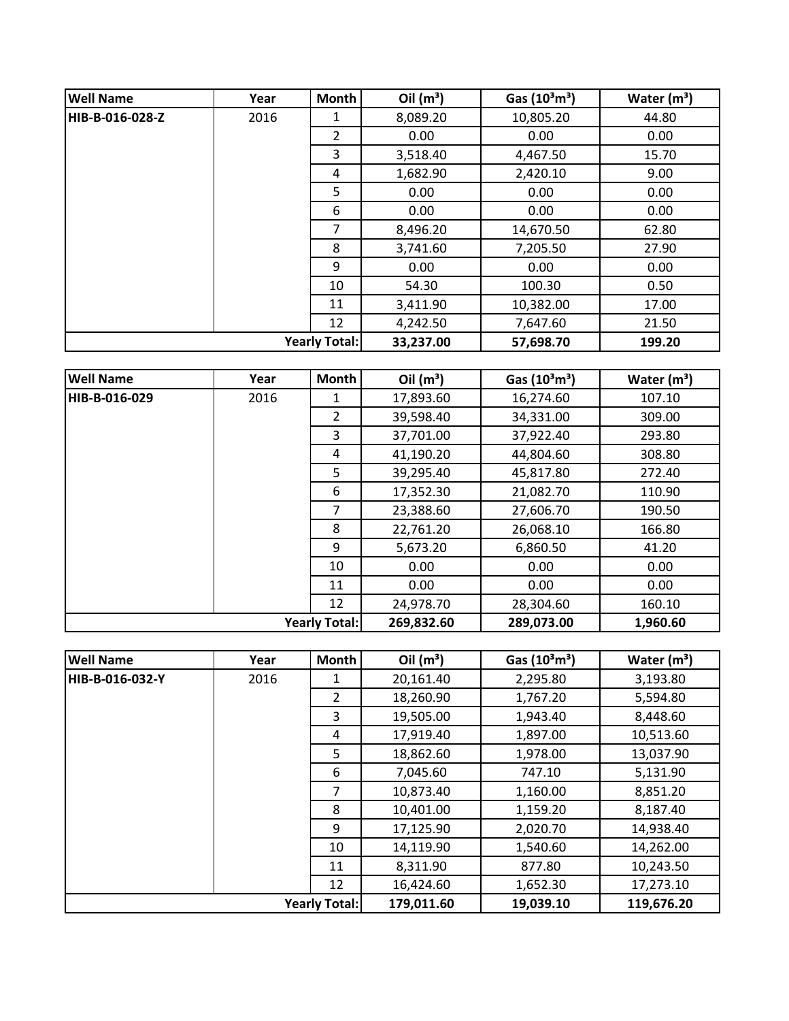| <b>Well Name</b> | Year | <b>Month</b>         | Oil $(m^3)$ | Gas $(10^3 \text{m}^3)$ | Water $(m^3)$ |
|------------------|------|----------------------|-------------|-------------------------|---------------|
| HIB-B-016-028-Z  | 2016 | 1                    | 8,089.20    | 10,805.20               | 44.80         |
|                  |      | $\overline{2}$       | 0.00        | 0.00                    | 0.00          |
|                  |      | 3                    | 3,518.40    | 4,467.50                | 15.70         |
|                  |      | 4                    | 1,682.90    | 2,420.10                | 9.00          |
|                  |      | 5                    | 0.00        | 0.00                    | 0.00          |
|                  |      | 6                    | 0.00        | 0.00                    | 0.00          |
|                  |      | 7                    | 8,496.20    | 14,670.50               | 62.80         |
|                  |      | 8                    | 3,741.60    | 7,205.50                | 27.90         |
|                  |      | 9                    | 0.00        | 0.00                    | 0.00          |
|                  |      | 10                   | 54.30       | 100.30                  | 0.50          |
|                  |      | 11                   | 3,411.90    | 10,382.00               | 17.00         |
|                  |      | 12                   | 4,242.50    | 7,647.60                | 21.50         |
|                  |      | <b>Yearly Total:</b> | 33,237.00   | 57,698.70               | 199.20        |

| <b>Well Name</b> | Year | Month                | Oil $(m^3)$ | Gas $(10^3 \text{m}^3)$ | Water $(m^3)$ |
|------------------|------|----------------------|-------------|-------------------------|---------------|
| HIB-B-016-029    | 2016 | 1                    | 17,893.60   | 16,274.60               | 107.10        |
|                  |      | $\overline{2}$       | 39,598.40   | 34,331.00               | 309.00        |
|                  |      | 3                    | 37,701.00   | 37,922.40               | 293.80        |
|                  |      | 4                    | 41,190.20   | 44,804.60               | 308.80        |
|                  |      | 5                    | 39,295.40   | 45,817.80               | 272.40        |
|                  |      | 6                    | 17,352.30   | 21,082.70               | 110.90        |
|                  |      | 7                    | 23,388.60   | 27,606.70               | 190.50        |
|                  |      | 8                    | 22,761.20   | 26,068.10               | 166.80        |
|                  |      | 9                    | 5,673.20    | 6,860.50                | 41.20         |
|                  |      | 10                   | 0.00        | 0.00                    | 0.00          |
|                  |      | 11                   | 0.00        | 0.00                    | 0.00          |
|                  |      | 12                   | 24,978.70   | 28,304.60               | 160.10        |
|                  |      | <b>Yearly Total:</b> | 269,832.60  | 289,073.00              | 1,960.60      |

| <b>Well Name</b>     | Year | <b>Month</b>   | Oil $(m^3)$ | Gas $(10^3 \text{m}^3)$ | Water $(m^3)$ |
|----------------------|------|----------------|-------------|-------------------------|---------------|
| HIB-B-016-032-Y      | 2016 | 1              | 20,161.40   | 2,295.80                | 3,193.80      |
|                      |      | $\overline{2}$ | 18,260.90   | 1,767.20                | 5,594.80      |
|                      |      | 3              | 19,505.00   | 1,943.40                | 8,448.60      |
|                      |      | 4              | 17,919.40   | 1,897.00                | 10,513.60     |
|                      |      | 5              | 18,862.60   | 1,978.00                | 13,037.90     |
|                      |      | 6              | 7,045.60    | 747.10                  | 5,131.90      |
|                      |      | 7              | 10,873.40   | 1,160.00                | 8,851.20      |
|                      |      | 8              | 10,401.00   | 1,159.20                | 8,187.40      |
|                      |      | 9              | 17,125.90   | 2,020.70                | 14,938.40     |
|                      |      | 10             | 14,119.90   | 1,540.60                | 14,262.00     |
|                      |      | 11             | 8,311.90    | 877.80                  | 10,243.50     |
|                      |      | 12             | 16,424.60   | 1,652.30                | 17,273.10     |
| <b>Yearly Total:</b> |      |                | 179,011.60  | 19,039.10               | 119,676.20    |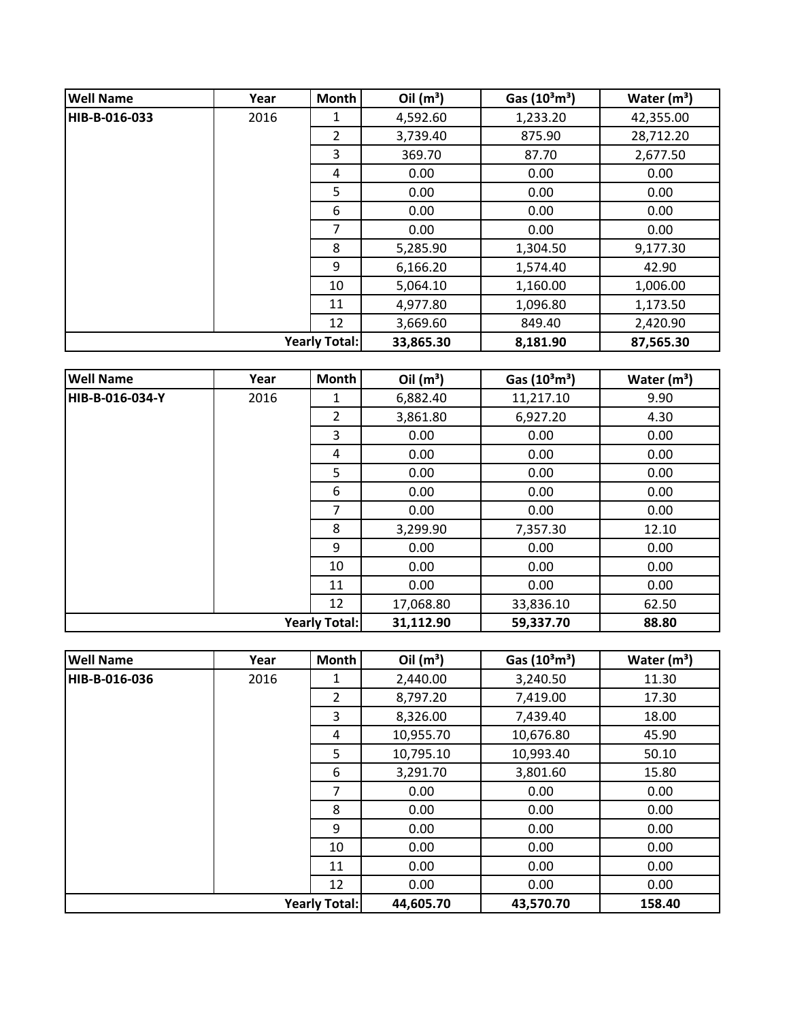| <b>Well Name</b>     | Year | <b>Month</b>   | Oil $(m^3)$ | Gas $(10^3 \text{m}^3)$ | Water $(m^3)$ |
|----------------------|------|----------------|-------------|-------------------------|---------------|
| HIB-B-016-033        | 2016 | 1              | 4,592.60    | 1,233.20                | 42,355.00     |
|                      |      | $\overline{2}$ | 3,739.40    | 875.90                  | 28,712.20     |
|                      |      | 3              | 369.70      | 87.70                   | 2,677.50      |
|                      |      | 4              | 0.00        | 0.00                    | 0.00          |
|                      |      | 5              | 0.00        | 0.00                    | 0.00          |
|                      |      | 6              | 0.00        | 0.00                    | 0.00          |
|                      |      | 7              | 0.00        | 0.00                    | 0.00          |
|                      |      | 8              | 5,285.90    | 1,304.50                | 9,177.30      |
|                      |      | 9              | 6,166.20    | 1,574.40                | 42.90         |
|                      |      | 10             | 5,064.10    | 1,160.00                | 1,006.00      |
|                      |      | 11             | 4,977.80    | 1,096.80                | 1,173.50      |
|                      |      | 12             | 3,669.60    | 849.40                  | 2,420.90      |
| <b>Yearly Total:</b> |      |                | 33,865.30   | 8,181.90                | 87,565.30     |

| <b>Well Name</b>     | Year | <b>Month</b>   | Oil $(m^3)$ | Gas $(10^3 \text{m}^3)$ | Water $(m^3)$ |
|----------------------|------|----------------|-------------|-------------------------|---------------|
| HIB-B-016-034-Y      | 2016 | 1              | 6,882.40    | 11,217.10               | 9.90          |
|                      |      | $\overline{2}$ | 3,861.80    | 6,927.20                | 4.30          |
|                      |      | 3              | 0.00        | 0.00                    | 0.00          |
|                      |      | 4              | 0.00        | 0.00                    | 0.00          |
|                      |      | 5              | 0.00        | 0.00                    | 0.00          |
|                      |      | 6              | 0.00        | 0.00                    | 0.00          |
|                      |      | 7              | 0.00        | 0.00                    | 0.00          |
|                      |      | 8              | 3,299.90    | 7,357.30                | 12.10         |
|                      |      | 9              | 0.00        | 0.00                    | 0.00          |
|                      |      | 10             | 0.00        | 0.00                    | 0.00          |
|                      |      | 11             | 0.00        | 0.00                    | 0.00          |
|                      |      | 12             | 17,068.80   | 33,836.10               | 62.50         |
| <b>Yearly Total:</b> |      |                | 31,112.90   | 59,337.70               | 88.80         |

| <b>Well Name</b>     | Year | Month          | Oil $(m^3)$ | Gas $(10^3 \text{m}^3)$ | Water $(m^3)$ |
|----------------------|------|----------------|-------------|-------------------------|---------------|
| HIB-B-016-036        | 2016 | 1              | 2,440.00    | 3,240.50                | 11.30         |
|                      |      | $\overline{2}$ | 8,797.20    | 7,419.00                | 17.30         |
|                      |      | 3              | 8,326.00    | 7,439.40                | 18.00         |
|                      |      | 4              | 10,955.70   | 10,676.80               | 45.90         |
|                      |      | 5              | 10,795.10   | 10,993.40               | 50.10         |
|                      |      | 6              | 3,291.70    | 3,801.60                | 15.80         |
|                      |      | 7              | 0.00        | 0.00                    | 0.00          |
|                      |      | 8              | 0.00        | 0.00                    | 0.00          |
|                      |      | 9              | 0.00        | 0.00                    | 0.00          |
|                      |      | 10             | 0.00        | 0.00                    | 0.00          |
|                      |      | 11             | 0.00        | 0.00                    | 0.00          |
|                      |      | 12             | 0.00        | 0.00                    | 0.00          |
| <b>Yearly Total:</b> |      |                | 44,605.70   | 43,570.70               | 158.40        |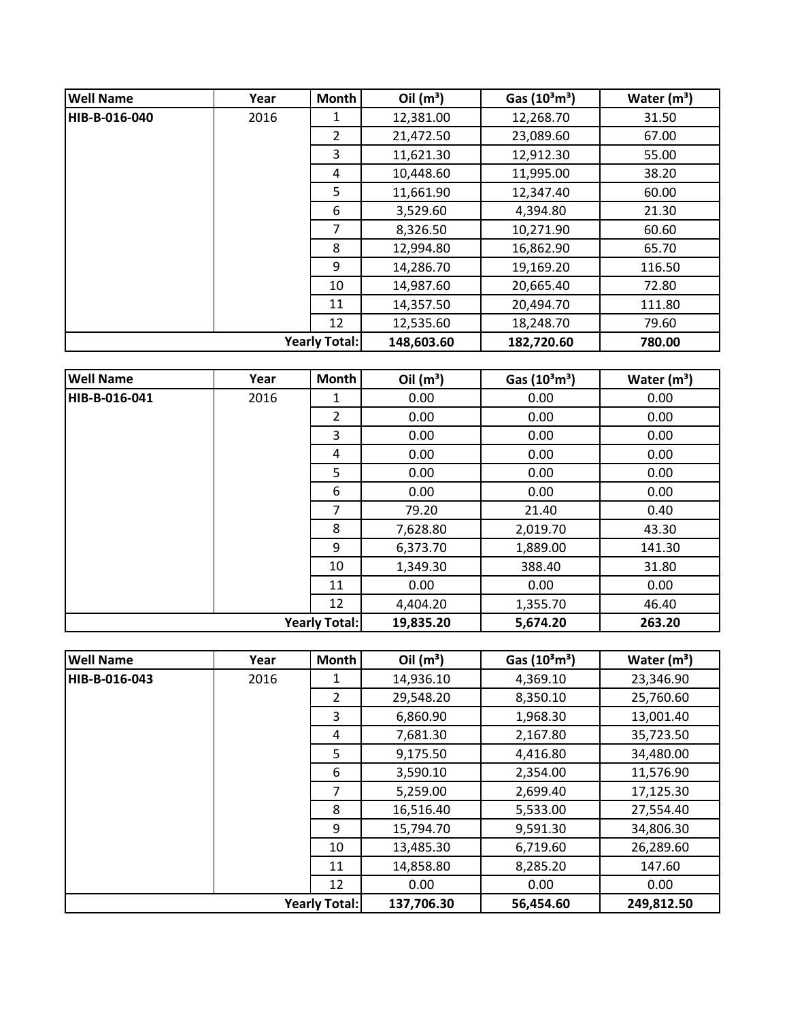| <b>Well Name</b> | Year                 | Month          | Oil $(m^3)$ | Gas $(10^3 \text{m}^3)$ | Water $(m^3)$ |
|------------------|----------------------|----------------|-------------|-------------------------|---------------|
| HIB-B-016-040    | 2016                 | 1              | 12,381.00   | 12,268.70               | 31.50         |
|                  |                      | $\overline{2}$ | 21,472.50   | 23,089.60               | 67.00         |
|                  |                      | 3              | 11,621.30   | 12,912.30               | 55.00         |
|                  |                      | 4              | 10,448.60   | 11,995.00               | 38.20         |
|                  |                      | 5              | 11,661.90   | 12,347.40               | 60.00         |
|                  |                      | 6              | 3,529.60    | 4,394.80                | 21.30         |
|                  |                      | 7              | 8,326.50    | 10,271.90               | 60.60         |
|                  |                      | 8              | 12,994.80   | 16,862.90               | 65.70         |
|                  |                      | 9              | 14,286.70   | 19,169.20               | 116.50        |
|                  |                      | 10             | 14,987.60   | 20,665.40               | 72.80         |
|                  |                      | 11             | 14,357.50   | 20,494.70               | 111.80        |
|                  |                      | 12             | 12,535.60   | 18,248.70               | 79.60         |
|                  | <b>Yearly Total:</b> |                | 148,603.60  | 182,720.60              | 780.00        |

| <b>Well Name</b> | Year | <b>Month</b>         | Oil $(m^3)$ | Gas $(10^3 \text{m}^3)$ | Water $(m^3)$ |
|------------------|------|----------------------|-------------|-------------------------|---------------|
| HIB-B-016-041    | 2016 | 1                    | 0.00        | 0.00                    | 0.00          |
|                  |      | $\overline{2}$       | 0.00        | 0.00                    | 0.00          |
|                  |      | 3                    | 0.00        | 0.00                    | 0.00          |
|                  |      | 4                    | 0.00        | 0.00                    | 0.00          |
|                  |      | 5                    | 0.00        | 0.00                    | 0.00          |
|                  |      | 6                    | 0.00        | 0.00                    | 0.00          |
|                  |      | $\overline{7}$       | 79.20       | 21.40                   | 0.40          |
|                  |      | 8                    | 7,628.80    | 2,019.70                | 43.30         |
|                  |      | 9                    | 6,373.70    | 1,889.00                | 141.30        |
|                  |      | 10                   | 1,349.30    | 388.40                  | 31.80         |
|                  |      | 11                   | 0.00        | 0.00                    | 0.00          |
|                  |      | 12                   | 4,404.20    | 1,355.70                | 46.40         |
|                  |      | <b>Yearly Total:</b> | 19,835.20   | 5,674.20                | 263.20        |

| <b>Well Name</b>     | Year | <b>Month</b>   | Oil $(m^3)$ | Gas $(10^3 \text{m}^3)$ | Water $(m^3)$ |
|----------------------|------|----------------|-------------|-------------------------|---------------|
| HIB-B-016-043        | 2016 | 1              | 14,936.10   | 4,369.10                | 23,346.90     |
|                      |      | $\overline{2}$ | 29,548.20   | 8,350.10                | 25,760.60     |
|                      |      | 3              | 6,860.90    | 1,968.30                | 13,001.40     |
|                      |      | 4              | 7,681.30    | 2,167.80                | 35,723.50     |
|                      |      | 5              | 9,175.50    | 4,416.80                | 34,480.00     |
|                      |      | 6              | 3,590.10    | 2,354.00                | 11,576.90     |
|                      |      | 7              | 5,259.00    | 2,699.40                | 17,125.30     |
|                      |      | 8              | 16,516.40   | 5,533.00                | 27,554.40     |
|                      |      | 9              | 15,794.70   | 9,591.30                | 34,806.30     |
|                      |      | 10             | 13,485.30   | 6,719.60                | 26,289.60     |
|                      |      | 11             | 14,858.80   | 8,285.20                | 147.60        |
|                      |      | 12             | 0.00        | 0.00                    | 0.00          |
| <b>Yearly Total:</b> |      |                | 137,706.30  | 56,454.60               | 249,812.50    |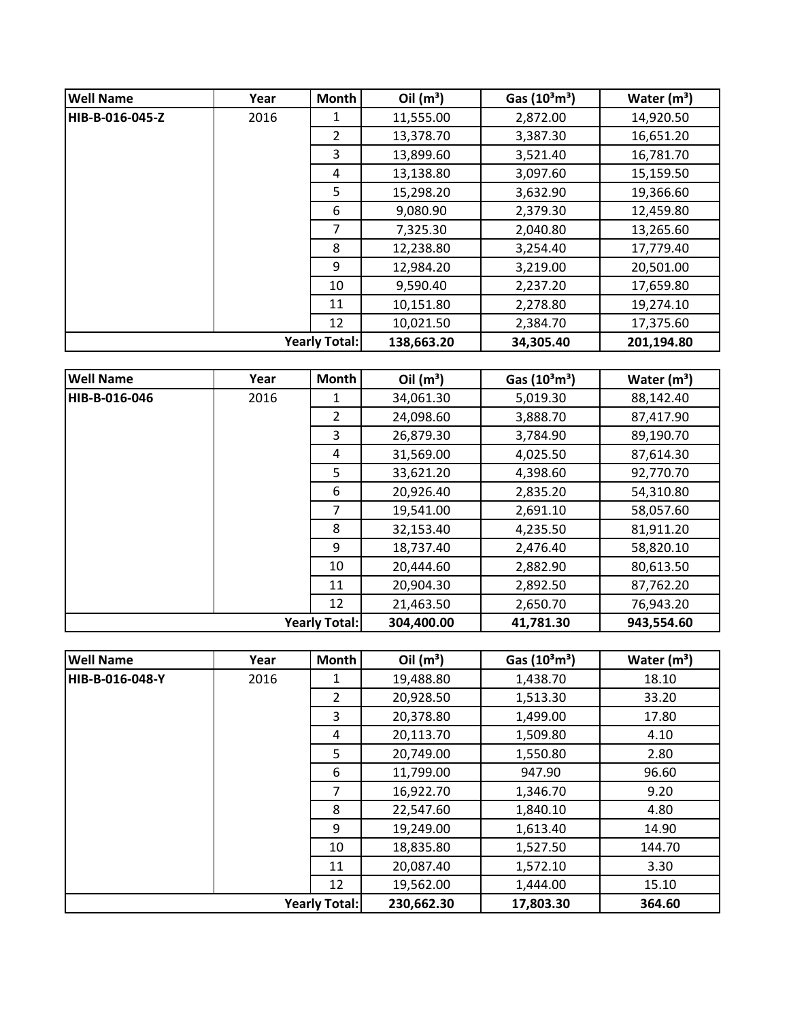| <b>Well Name</b> | Year | Month                | Oil $(m^3)$ | Gas $(10^3 \text{m}^3)$ | Water $(m^3)$ |
|------------------|------|----------------------|-------------|-------------------------|---------------|
| HIB-B-016-045-Z  | 2016 | 1                    | 11,555.00   | 2,872.00                | 14,920.50     |
|                  |      | $\overline{2}$       | 13,378.70   | 3,387.30                | 16,651.20     |
|                  |      | 3                    | 13,899.60   | 3,521.40                | 16,781.70     |
|                  |      | 4                    | 13,138.80   | 3,097.60                | 15,159.50     |
|                  |      | 5                    | 15,298.20   | 3,632.90                | 19,366.60     |
|                  |      | 6                    | 9,080.90    | 2,379.30                | 12,459.80     |
|                  |      | 7                    | 7,325.30    | 2,040.80                | 13,265.60     |
|                  |      | 8                    | 12,238.80   | 3,254.40                | 17,779.40     |
|                  |      | 9                    | 12,984.20   | 3,219.00                | 20,501.00     |
|                  |      | 10                   | 9,590.40    | 2,237.20                | 17,659.80     |
|                  |      | 11                   | 10,151.80   | 2,278.80                | 19,274.10     |
|                  |      | 12                   | 10,021.50   | 2,384.70                | 17,375.60     |
|                  |      | <b>Yearly Total:</b> | 138,663.20  | 34,305.40               | 201,194.80    |

| <b>Well Name</b>     | Year | Month          | Oil $(m^3)$ | Gas $(10^3 \text{m}^3)$ | Water $(m^3)$ |
|----------------------|------|----------------|-------------|-------------------------|---------------|
| HIB-B-016-046        | 2016 | 1              | 34,061.30   | 5,019.30                | 88,142.40     |
|                      |      | $\overline{2}$ | 24,098.60   | 3,888.70                | 87,417.90     |
|                      |      | 3              | 26,879.30   | 3,784.90                | 89,190.70     |
|                      |      | 4              | 31,569.00   | 4,025.50                | 87,614.30     |
|                      |      | 5              | 33,621.20   | 4,398.60                | 92,770.70     |
|                      |      | 6              | 20,926.40   | 2,835.20                | 54,310.80     |
|                      |      | 7              | 19,541.00   | 2,691.10                | 58,057.60     |
|                      |      | 8              | 32,153.40   | 4,235.50                | 81,911.20     |
|                      |      | 9              | 18,737.40   | 2,476.40                | 58,820.10     |
|                      |      | 10             | 20,444.60   | 2,882.90                | 80,613.50     |
|                      |      | 11             | 20,904.30   | 2,892.50                | 87,762.20     |
|                      |      | 12             | 21,463.50   | 2,650.70                | 76,943.20     |
| <b>Yearly Total:</b> |      |                | 304,400.00  | 41,781.30               | 943,554.60    |

| <b>Well Name</b>     | Year | <b>Month</b>   | Oil $(m^3)$ | Gas $(10^3 \text{m}^3)$ | Water $(m^3)$ |
|----------------------|------|----------------|-------------|-------------------------|---------------|
| HIB-B-016-048-Y      | 2016 | 1              | 19,488.80   | 1,438.70                | 18.10         |
|                      |      | $\overline{2}$ | 20,928.50   | 1,513.30                | 33.20         |
|                      |      | 3              | 20,378.80   | 1,499.00                | 17.80         |
|                      |      | 4              | 20,113.70   | 1,509.80                | 4.10          |
|                      |      | 5              | 20,749.00   | 1,550.80                | 2.80          |
|                      |      | 6              | 11,799.00   | 947.90                  | 96.60         |
|                      |      | 7              | 16,922.70   | 1,346.70                | 9.20          |
|                      |      | 8              | 22,547.60   | 1,840.10                | 4.80          |
|                      |      | 9              | 19,249.00   | 1,613.40                | 14.90         |
|                      |      | 10             | 18,835.80   | 1,527.50                | 144.70        |
|                      |      | 11             | 20,087.40   | 1,572.10                | 3.30          |
|                      |      | 12             | 19,562.00   | 1,444.00                | 15.10         |
| <b>Yearly Total:</b> |      |                | 230,662.30  | 17,803.30               | 364.60        |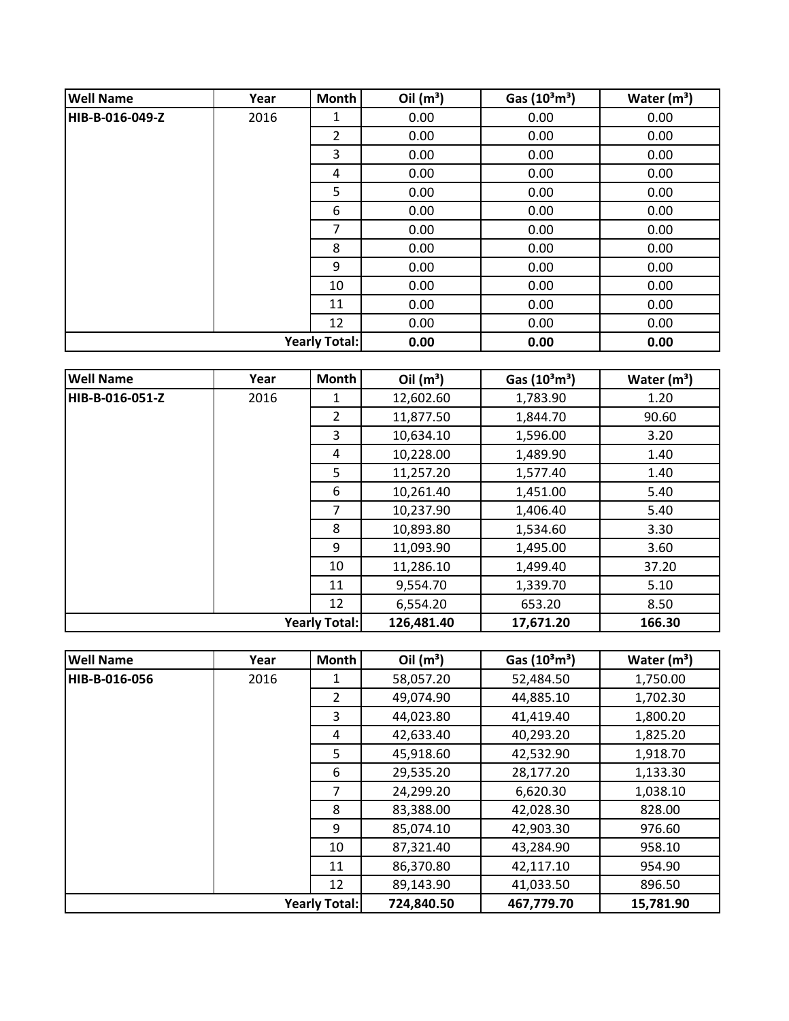| <b>Well Name</b>     | Year | Month          | Oil $(m^3)$ | Gas $(10^3 \text{m}^3)$ | Water $(m^3)$ |
|----------------------|------|----------------|-------------|-------------------------|---------------|
| HIB-B-016-049-Z      | 2016 | 1              | 0.00        | 0.00                    | 0.00          |
|                      |      | $\overline{2}$ | 0.00        | 0.00                    | 0.00          |
|                      |      | 3              | 0.00        | 0.00                    | 0.00          |
|                      |      | 4              | 0.00        | 0.00                    | 0.00          |
|                      |      | 5              | 0.00        | 0.00                    | 0.00          |
|                      |      | 6              | 0.00        | 0.00                    | 0.00          |
|                      |      | 7              | 0.00        | 0.00                    | 0.00          |
|                      |      | 8              | 0.00        | 0.00                    | 0.00          |
|                      |      | 9              | 0.00        | 0.00                    | 0.00          |
|                      |      | 10             | 0.00        | 0.00                    | 0.00          |
|                      |      | 11             | 0.00        | 0.00                    | 0.00          |
|                      |      | 12             | 0.00        | 0.00                    | 0.00          |
| <b>Yearly Total:</b> |      |                | 0.00        | 0.00                    | 0.00          |

| <b>Well Name</b> | Year | Month                | Oil $(m^3)$ | Gas $(10^3 \text{m}^3)$ | Water $(m^3)$ |
|------------------|------|----------------------|-------------|-------------------------|---------------|
| HIB-B-016-051-Z  | 2016 | 1                    | 12,602.60   | 1,783.90                | 1.20          |
|                  |      | $\overline{2}$       | 11,877.50   | 1,844.70                | 90.60         |
|                  |      | 3                    | 10,634.10   | 1,596.00                | 3.20          |
|                  |      | 4                    | 10,228.00   | 1,489.90                | 1.40          |
|                  |      | 5                    | 11,257.20   | 1,577.40                | 1.40          |
|                  |      | 6                    | 10,261.40   | 1,451.00                | 5.40          |
|                  |      | 7                    | 10,237.90   | 1,406.40                | 5.40          |
|                  |      | 8                    | 10,893.80   | 1,534.60                | 3.30          |
|                  |      | 9                    | 11,093.90   | 1,495.00                | 3.60          |
|                  |      | 10                   | 11,286.10   | 1,499.40                | 37.20         |
|                  |      | 11                   | 9,554.70    | 1,339.70                | 5.10          |
|                  |      | 12                   | 6,554.20    | 653.20                  | 8.50          |
|                  |      | <b>Yearly Total:</b> | 126,481.40  | 17,671.20               | 166.30        |

| <b>Well Name</b> | Year | <b>Month</b>         | Oil $(m^3)$ | Gas $(10^3 \text{m}^3)$ | Water $(m^3)$ |
|------------------|------|----------------------|-------------|-------------------------|---------------|
| HIB-B-016-056    | 2016 | 1                    | 58,057.20   | 52,484.50               | 1,750.00      |
|                  |      | $\overline{2}$       | 49,074.90   | 44,885.10               | 1,702.30      |
|                  |      | 3                    | 44,023.80   | 41,419.40               | 1,800.20      |
|                  |      | 4                    | 42,633.40   | 40,293.20               | 1,825.20      |
|                  |      | 5.                   | 45,918.60   | 42,532.90               | 1,918.70      |
|                  |      | 6                    | 29,535.20   | 28,177.20               | 1,133.30      |
|                  |      | 7                    | 24,299.20   | 6,620.30                | 1,038.10      |
|                  |      | 8                    | 83,388.00   | 42,028.30               | 828.00        |
|                  |      | 9                    | 85,074.10   | 42,903.30               | 976.60        |
|                  |      | 10                   | 87,321.40   | 43,284.90               | 958.10        |
|                  |      | 11                   | 86,370.80   | 42,117.10               | 954.90        |
|                  |      | 12                   | 89,143.90   | 41,033.50               | 896.50        |
|                  |      | <b>Yearly Total:</b> | 724,840.50  | 467,779.70              | 15,781.90     |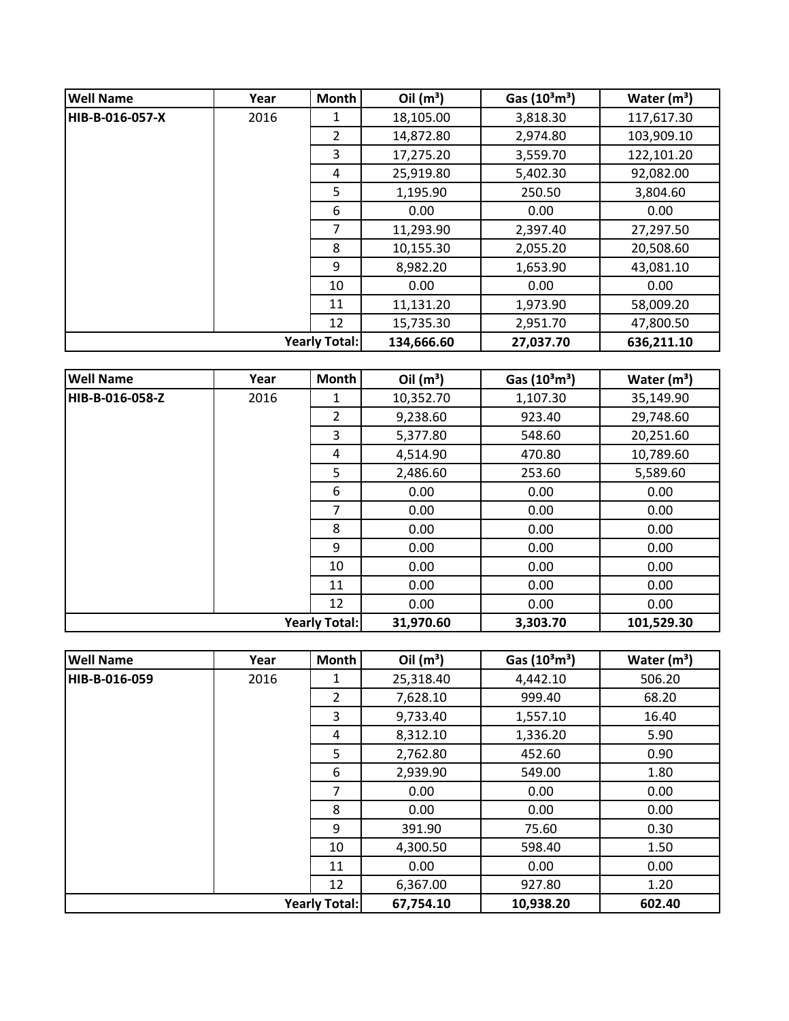| <b>Well Name</b>     | Year | <b>Month</b> | Oil $(m^3)$ | Gas $(10^3 \text{m}^3)$ | Water $(m^3)$ |
|----------------------|------|--------------|-------------|-------------------------|---------------|
| HIB-B-016-057-X      | 2016 | 1            | 18,105.00   | 3,818.30                | 117,617.30    |
|                      |      | 2            | 14,872.80   | 2,974.80                | 103,909.10    |
|                      |      | 3            | 17,275.20   | 3,559.70                | 122,101.20    |
|                      |      | 4            | 25,919.80   | 5,402.30                | 92,082.00     |
|                      |      | 5            | 1,195.90    | 250.50                  | 3,804.60      |
|                      |      | 6            | 0.00        | 0.00                    | 0.00          |
|                      |      | 7            | 11,293.90   | 2,397.40                | 27,297.50     |
|                      |      | 8            | 10,155.30   | 2,055.20                | 20,508.60     |
|                      |      | 9            | 8,982.20    | 1,653.90                | 43,081.10     |
|                      |      | 10           | 0.00        | 0.00                    | 0.00          |
|                      |      | 11           | 11,131.20   | 1,973.90                | 58,009.20     |
|                      |      | 12           | 15,735.30   | 2,951.70                | 47,800.50     |
| <b>Yearly Total:</b> |      |              | 134,666.60  | 27,037.70               | 636,211.10    |

| <b>Well Name</b>     | Year | Month          | Oil $(m^3)$ | Gas $(10^3 \text{m}^3)$ | Water $(m^3)$ |
|----------------------|------|----------------|-------------|-------------------------|---------------|
| HIB-B-016-058-Z      | 2016 | 1              | 10,352.70   | 1,107.30                | 35,149.90     |
|                      |      | $\overline{2}$ | 9,238.60    | 923.40                  | 29,748.60     |
|                      |      | 3              | 5,377.80    | 548.60                  | 20,251.60     |
|                      |      | 4              | 4,514.90    | 470.80                  | 10,789.60     |
|                      |      | 5              | 2,486.60    | 253.60                  | 5,589.60      |
|                      |      | 6              | 0.00        | 0.00                    | 0.00          |
|                      |      | 7              | 0.00        | 0.00                    | 0.00          |
|                      |      | 8              | 0.00        | 0.00                    | 0.00          |
|                      |      | 9              | 0.00        | 0.00                    | 0.00          |
|                      |      | 10             | 0.00        | 0.00                    | 0.00          |
|                      |      | 11             | 0.00        | 0.00                    | 0.00          |
|                      |      | 12             | 0.00        | 0.00                    | 0.00          |
| <b>Yearly Total:</b> |      |                | 31,970.60   | 3,303.70                | 101,529.30    |

| <b>Well Name</b> | Year | Month                | Oil $(m^3)$ | Gas $(10^3 \text{m}^3)$ | Water $(m^3)$ |
|------------------|------|----------------------|-------------|-------------------------|---------------|
| HIB-B-016-059    | 2016 | 1                    | 25,318.40   | 4,442.10                | 506.20        |
|                  |      | $\overline{2}$       | 7,628.10    | 999.40                  | 68.20         |
|                  |      | 3                    | 9,733.40    | 1,557.10                | 16.40         |
|                  |      | 4                    | 8,312.10    | 1,336.20                | 5.90          |
|                  |      | 5                    | 2,762.80    | 452.60                  | 0.90          |
|                  |      | 6                    | 2,939.90    | 549.00                  | 1.80          |
|                  |      | 7                    | 0.00        | 0.00                    | 0.00          |
|                  |      | 8                    | 0.00        | 0.00                    | 0.00          |
|                  |      | 9                    | 391.90      | 75.60                   | 0.30          |
|                  |      | 10                   | 4,300.50    | 598.40                  | 1.50          |
|                  |      | 11                   | 0.00        | 0.00                    | 0.00          |
|                  |      | 12                   | 6,367.00    | 927.80                  | 1.20          |
|                  |      | <b>Yearly Total:</b> | 67,754.10   | 10,938.20               | 602.40        |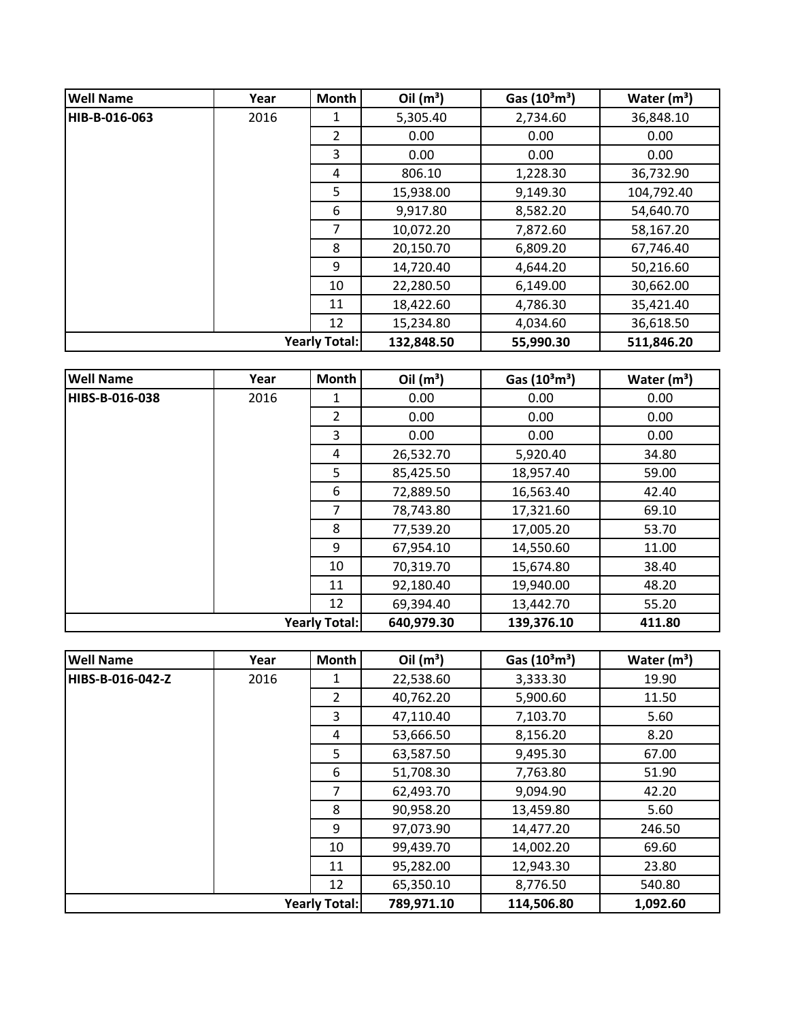| <b>Well Name</b>     | Year | Month          | Oil $(m^3)$ | Gas $(10^3 \text{m}^3)$ | Water $(m^3)$ |
|----------------------|------|----------------|-------------|-------------------------|---------------|
| HIB-B-016-063        | 2016 | 1              | 5,305.40    | 2,734.60                | 36,848.10     |
|                      |      | $\overline{2}$ | 0.00        | 0.00                    | 0.00          |
|                      |      | 3              | 0.00        | 0.00                    | 0.00          |
|                      |      | 4              | 806.10      | 1,228.30                | 36,732.90     |
|                      |      | 5              | 15,938.00   | 9,149.30                | 104,792.40    |
|                      |      | 6              | 9,917.80    | 8,582.20                | 54,640.70     |
|                      |      | 7              | 10,072.20   | 7,872.60                | 58,167.20     |
|                      |      | 8              | 20,150.70   | 6,809.20                | 67,746.40     |
|                      |      | 9              | 14,720.40   | 4,644.20                | 50,216.60     |
|                      |      | 10             | 22,280.50   | 6,149.00                | 30,662.00     |
|                      |      | 11             | 18,422.60   | 4,786.30                | 35,421.40     |
|                      |      | 12             | 15,234.80   | 4,034.60                | 36,618.50     |
| <b>Yearly Total:</b> |      |                | 132,848.50  | 55,990.30               | 511,846.20    |

| <b>Well Name</b> | Year | <b>Month</b>         | Oil $(m^3)$ | Gas $(10^3 \text{m}^3)$ | Water $(m^3)$ |
|------------------|------|----------------------|-------------|-------------------------|---------------|
| HIBS-B-016-038   | 2016 | 1                    | 0.00        | 0.00                    | 0.00          |
|                  |      | $\overline{2}$       | 0.00        | 0.00                    | 0.00          |
|                  |      | 3                    | 0.00        | 0.00                    | 0.00          |
|                  |      | 4                    | 26,532.70   | 5,920.40                | 34.80         |
|                  |      | 5                    | 85,425.50   | 18,957.40               | 59.00         |
|                  |      | 6                    | 72,889.50   | 16,563.40               | 42.40         |
|                  |      | 7                    | 78,743.80   | 17,321.60               | 69.10         |
|                  |      | 8                    | 77,539.20   | 17,005.20               | 53.70         |
|                  |      | 9                    | 67,954.10   | 14,550.60               | 11.00         |
|                  |      | 10                   | 70,319.70   | 15,674.80               | 38.40         |
|                  |      | 11                   | 92,180.40   | 19,940.00               | 48.20         |
|                  |      | 12                   | 69,394.40   | 13,442.70               | 55.20         |
|                  |      | <b>Yearly Total:</b> | 640,979.30  | 139,376.10              | 411.80        |

| <b>Well Name</b>     | Year | Month          | Oil $(m^3)$ | Gas $(10^3 \text{m}^3)$ | Water $(m^3)$ |
|----------------------|------|----------------|-------------|-------------------------|---------------|
| HIBS-B-016-042-Z     | 2016 | 1              | 22,538.60   | 3,333.30                | 19.90         |
|                      |      | $\overline{2}$ | 40,762.20   | 5,900.60                | 11.50         |
|                      |      | 3              | 47,110.40   | 7,103.70                | 5.60          |
|                      |      | 4              | 53,666.50   | 8,156.20                | 8.20          |
|                      |      | 5              | 63,587.50   | 9,495.30                | 67.00         |
|                      |      | 6              | 51,708.30   | 7,763.80                | 51.90         |
|                      |      | 7              | 62,493.70   | 9,094.90                | 42.20         |
|                      |      | 8              | 90,958.20   | 13,459.80               | 5.60          |
|                      |      | 9              | 97,073.90   | 14,477.20               | 246.50        |
|                      |      | 10             | 99,439.70   | 14,002.20               | 69.60         |
|                      |      | 11             | 95,282.00   | 12,943.30               | 23.80         |
|                      |      | 12             | 65,350.10   | 8,776.50                | 540.80        |
| <b>Yearly Total:</b> |      |                | 789,971.10  | 114,506.80              | 1,092.60      |